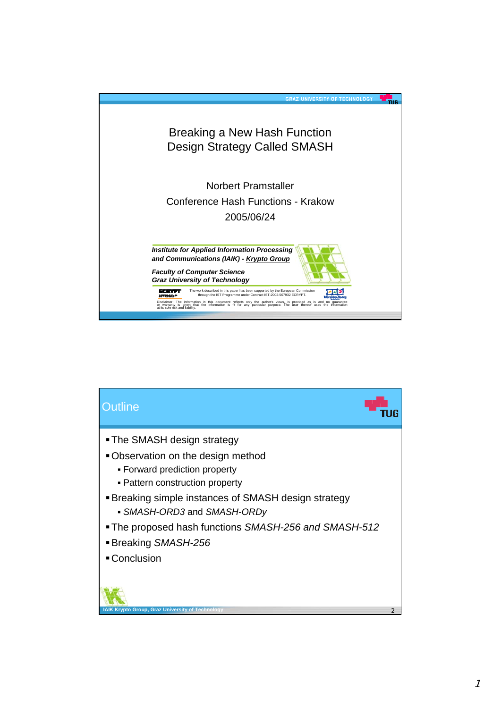

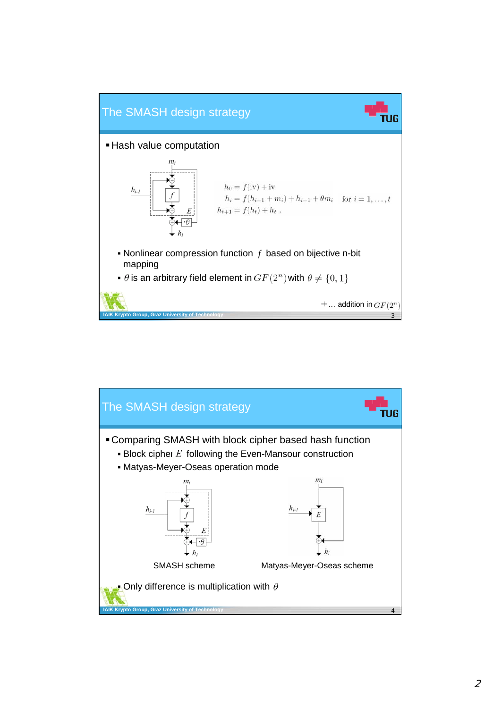

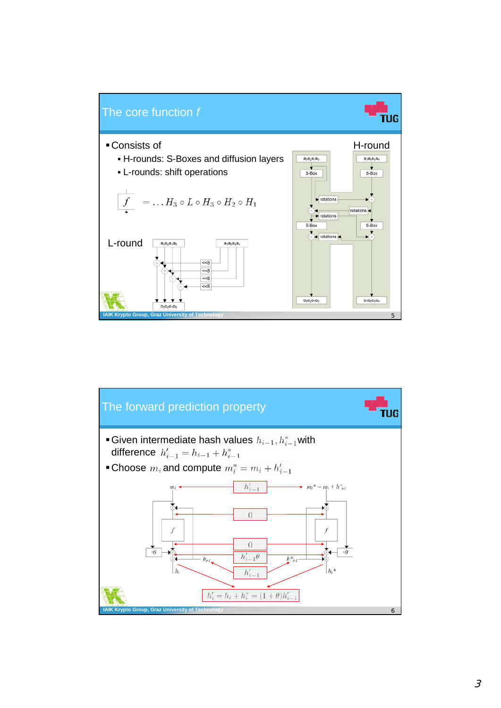

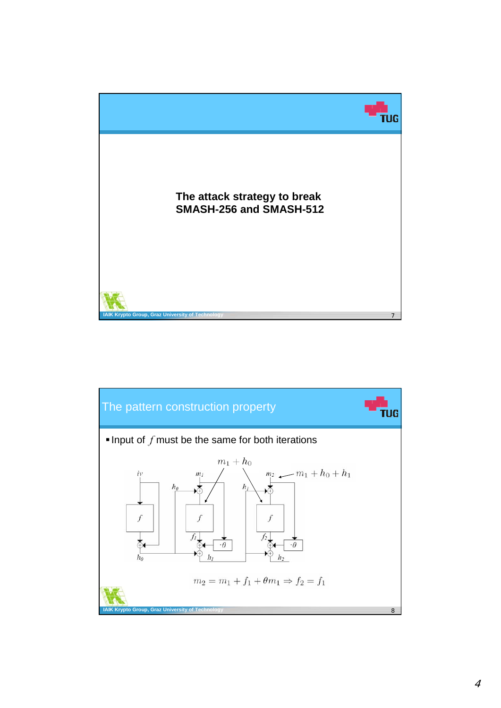

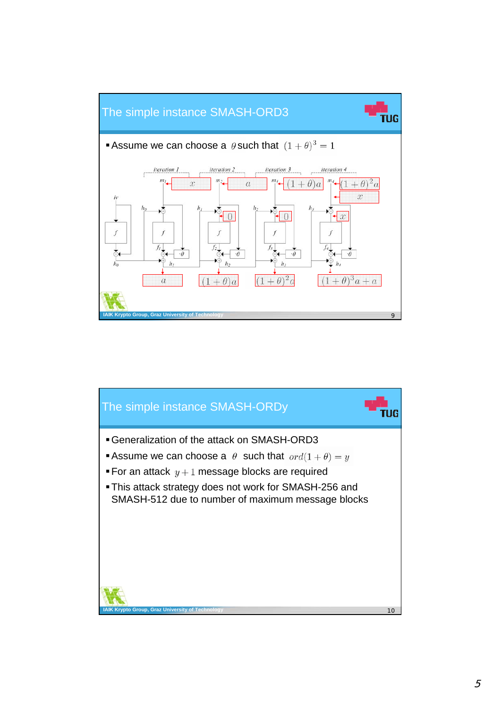

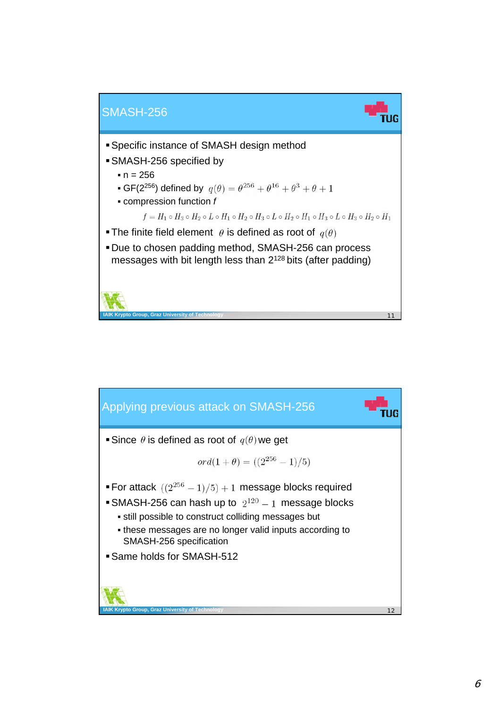

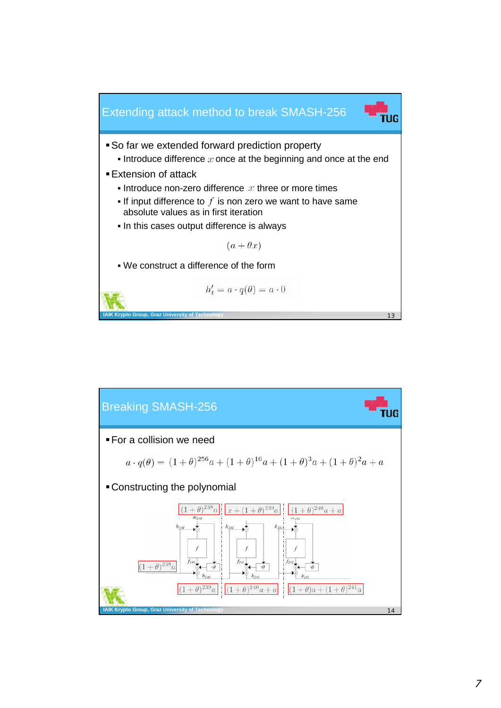

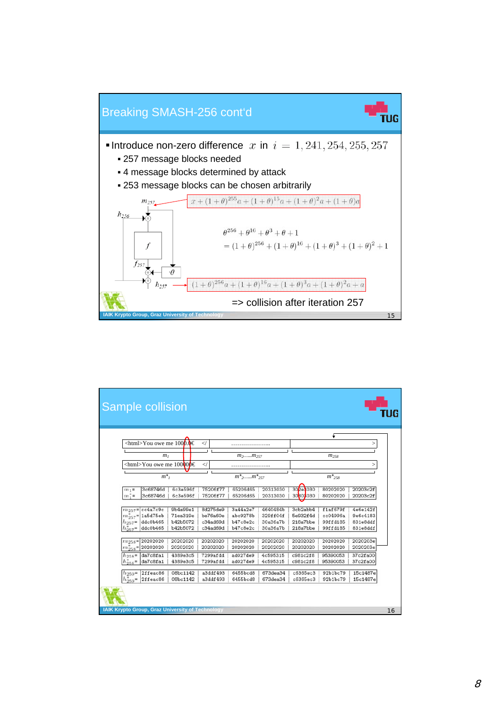

|                                                 |                             |          |                                         |                 |          | ÷           |          |          |
|-------------------------------------------------|-----------------------------|----------|-----------------------------------------|-----------------|----------|-------------|----------|----------|
| $\text{thm} > Y$ ou owe me 1000.0€<br>$\prec$ / |                             |          |                                         |                 |          |             |          | >        |
| m <sub>l</sub>                                  |                             |          | $m_2,m_{257}$                           |                 |          | $m_{258}$   |          |          |
| $\text{thm} > Y$ ou owe me 100000 $\theta \in$  |                             |          |                                         |                 |          |             |          |          |
|                                                 |                             |          | $\lt$ /                                 |                 |          |             |          | >        |
| $m^*$                                           |                             |          | $m^*$ <sub>2</sub> $m^*$ <sub>257</sub> |                 |          | $m^*_{258}$ |          |          |
| $m_1$ =                                         | 3c68746d                    | 6c3e596f | 75206f77                                | 65206d65        | 20313030 | 302e3030    | 80202020 | 20203c2f |
| $m_1^* =$                                       | 3c68746d                    | 6c3e596f | 75206f77                                | 65206d65        | 20313030 | 30803030    | 80202020 | 20203c2f |
|                                                 | $m_{257}$ = cc4a7c9c        | 9b4a99e1 | 8d275de9                                | 3a44a2e7        | 4640484b | 3cb2abb4    | f1af679f | 4e6e142f |
|                                                 | $m_{257}^*$ = 1a5d75eb      | 71ea319e | be76a60e                                | abc9278b        | 329ff04f | 5e932f4d    | cc04996a | 9e6c4183 |
| $h_{257}$ =                                     | ddc0b465                    | b42b5072 | c34ad69d                                | <b>b47c8e2c</b> | 30a36a7b | 218a7bbe    | 99ffd185 | 831e8ddf |
| $h_{257}$ =                                     | ddc0b465                    | b42b5072 | c34ad69d                                | b47c8e2c        | 30a36a7b | 218a7bbe    | 99ffd185 | 831e8ddf |
|                                                 | $m_{258}$ = 20202020        | 20202020 | 20202020                                | 20202020        | 20202020 | 20202020    | 20202020 | 2020203e |
|                                                 | $m_{258}^{\ast}$ = 20202020 | 20202020 | 20202020                                | 20202020        | 20202020 | 20202020    | 20202020 | 2020203e |
| $h_{258}$ =                                     | da7c8fa1                    | 4389e3c5 | 7299afdd                                | ad027de9        | 4c595315 | c981c2f8    | 95390053 | 37c2fa00 |
| $h_{258}^{*}$ =                                 | da7c8fa1                    | 4389e3c5 | 7299afdd                                | ad027de9        | 4c595315 | c981c2f8    | 95390053 | 37c2fa00 |
| $h_{259}$ =                                     | 2ffeac86                    | 08bc1142 | a3ddf493                                | 6455bcd8        | 673dea34 | c6365ec3    | 92b1bc79 | 15c1487e |
| $h_{259}^*$                                     | 2ffeac86                    | 08bc1142 | a3ddf493                                | 6455bcd8        | 673dea34 | c6365ec3    | 92b1bc79 | 15c1487e |